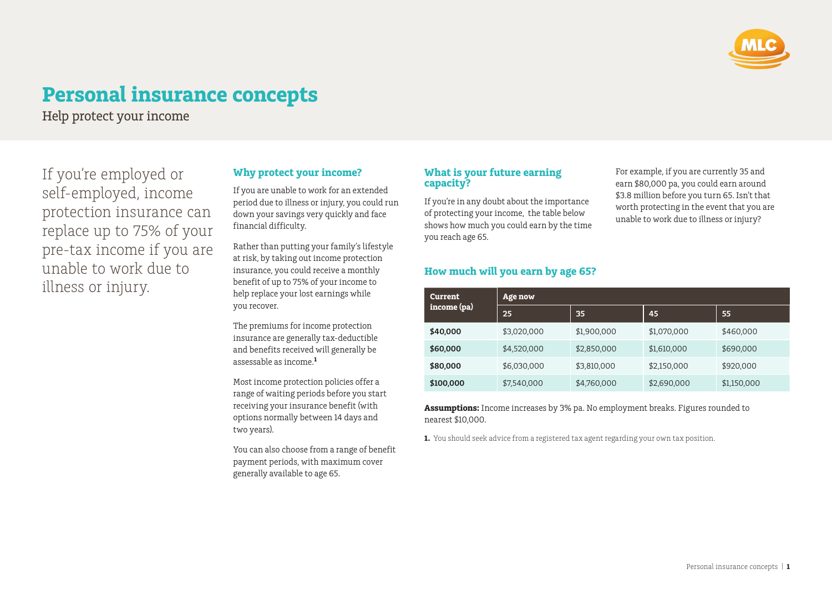

# **Personal insurance concepts**

Help protect your income

If you're employed or self‑employed, income protection insurance can replace up to 75% of your pre-tax income if you are unable to work due to illness or injury.

### **Why protect your income?**

If you are unable to work for an extended period due to illness or injury, you could run down your savings very quickly and face financial difficulty.

Rather than putting your family's lifestyle at risk, by taking out income protection insurance, you could receive a monthly benefit of up to 75% of your income to help replace your lost earnings while you recover.

The premiums for income protection insurance are generally tax-deductible and benefits received will generally be assessable as income.**<sup>1</sup>**

Most income protection policies offer a range of waiting periods before you start receiving your insurance benefit (with options normally between 14 days and two years).

You can also choose from a range of benefit payment periods, with maximum cover generally available to age 65.

### **What is your future earning capacity?**

If you're in any doubt about the importance of protecting your income, the table below shows how much you could earn by the time you reach age 65.

For example, if you are currently 35 and earn \$80,000 pa, you could earn around \$3.8 million before you turn 65. Isn't that worth protecting in the event that you are unable to work due to illness or injury?

### **How much will you earn by age 65?**

| <b>Current</b><br>income (pa) | Age now     |                 |             |             |
|-------------------------------|-------------|-----------------|-------------|-------------|
|                               | 25          | 35 <sub>1</sub> | 45          | 55          |
| \$40,000                      | \$3,020,000 | \$1,900,000     | \$1,070,000 | \$460,000   |
| \$60,000                      | \$4,520,000 | \$2,850,000     | \$1,610,000 | \$690,000   |
| \$80,000                      | \$6,030,000 | \$3,810,000     | \$2,150,000 | \$920,000   |
| \$100,000                     | \$7,540,000 | \$4,760,000     | \$2,690,000 | \$1,150,000 |

**Assumptions:** Income increases by 3% pa. No employment breaks. Figures rounded to nearest \$10,000.

**1.** You should seek advice from a registered tax agent regarding your own tax position.